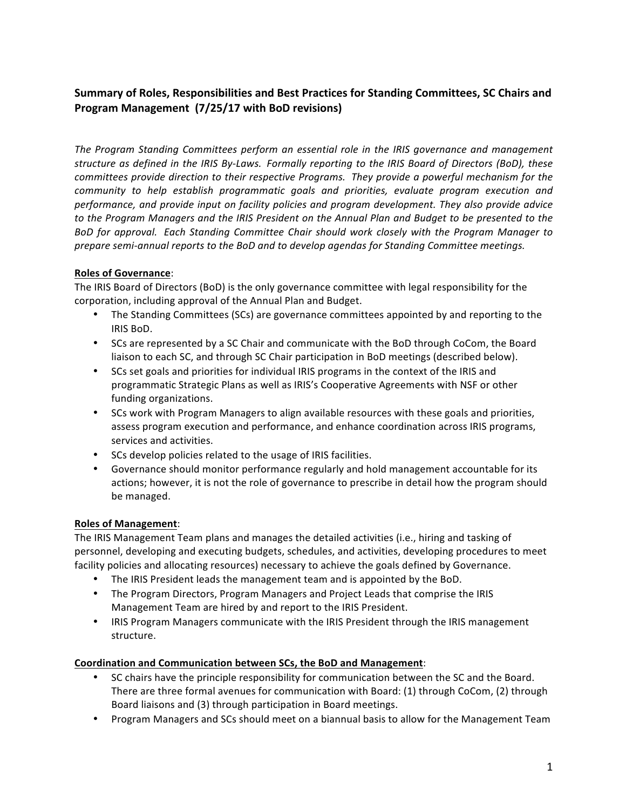# Summary of Roles, Responsibilities and Best Practices for Standing Committees, SC Chairs and **Program Management (7/25/17 with BoD revisions)**

The Program Standing Committees perform an essential role in the IRIS governance and management structure as defined in the IRIS By-Laws. Formally reporting to the IRIS Board of Directors (BoD), these *committees provide direction to their respective Programs. They provide a powerful mechanism for the community to help establish programmatic goals and priorities, evaluate program execution and performance, and provide input on facility policies and program development. They also provide advice*  to the Program Managers and the IRIS President on the Annual Plan and Budget to be presented to the *BoD for approval. Each Standing Committee Chair should work closely with the Program Manager to prepare semi-annual reports to the BoD and to develop agendas for Standing Committee meetings.*

## **Roles of Governance**:

The IRIS Board of Directors (BoD) is the only governance committee with legal responsibility for the corporation, including approval of the Annual Plan and Budget.

- The Standing Committees (SCs) are governance committees appointed by and reporting to the IRIS BoD.
- SCs are represented by a SC Chair and communicate with the BoD through CoCom, the Board liaison to each SC, and through SC Chair participation in BoD meetings (described below).
- SCs set goals and priorities for individual IRIS programs in the context of the IRIS and programmatic Strategic Plans as well as IRIS's Cooperative Agreements with NSF or other funding organizations.
- SCs work with Program Managers to align available resources with these goals and priorities, assess program execution and performance, and enhance coordination across IRIS programs, services and activities.
- SCs develop policies related to the usage of IRIS facilities.
- Governance should monitor performance regularly and hold management accountable for its actions; however, it is not the role of governance to prescribe in detail how the program should be managed.

### **Roles of Management**:

The IRIS Management Team plans and manages the detailed activities (i.e., hiring and tasking of personnel, developing and executing budgets, schedules, and activities, developing procedures to meet facility policies and allocating resources) necessary to achieve the goals defined by Governance.

- The IRIS President leads the management team and is appointed by the BoD.
- The Program Directors, Program Managers and Project Leads that comprise the IRIS Management Team are hired by and report to the IRIS President.
- IRIS Program Managers communicate with the IRIS President through the IRIS management structure.

### **Coordination and Communication between SCs, the BoD and Management**:

- SC chairs have the principle responsibility for communication between the SC and the Board. There are three formal avenues for communication with Board: (1) through CoCom, (2) through Board liaisons and (3) through participation in Board meetings.
- Program Managers and SCs should meet on a biannual basis to allow for the Management Team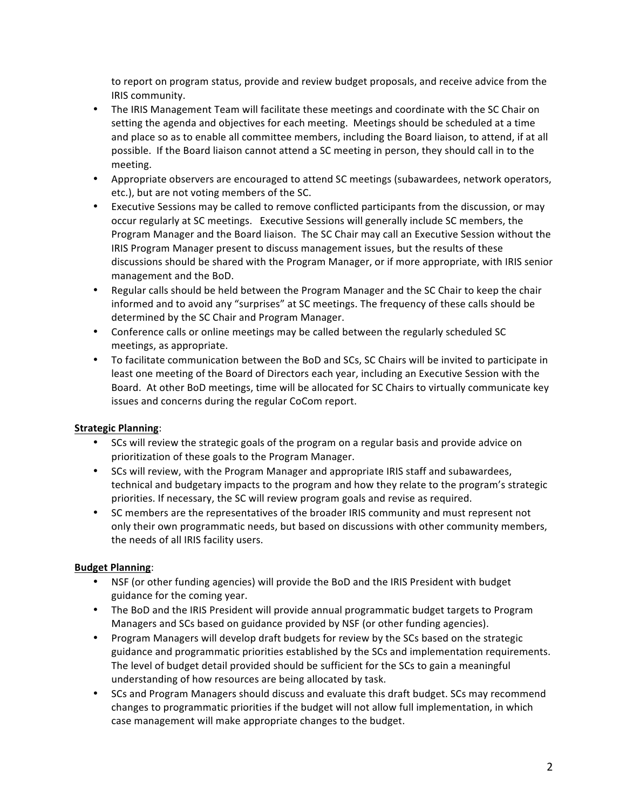to report on program status, provide and review budget proposals, and receive advice from the IRIS community.

- The IRIS Management Team will facilitate these meetings and coordinate with the SC Chair on setting the agenda and objectives for each meeting. Meetings should be scheduled at a time and place so as to enable all committee members, including the Board liaison, to attend, if at all possible. If the Board liaison cannot attend a SC meeting in person, they should call in to the meeting.
- Appropriate observers are encouraged to attend SC meetings (subawardees, network operators, etc.), but are not voting members of the SC.
- Executive Sessions may be called to remove conflicted participants from the discussion, or may occur regularly at SC meetings. Executive Sessions will generally include SC members, the Program Manager and the Board liaison. The SC Chair may call an Executive Session without the IRIS Program Manager present to discuss management issues, but the results of these discussions should be shared with the Program Manager, or if more appropriate, with IRIS senior management and the BoD.
- Regular calls should be held between the Program Manager and the SC Chair to keep the chair informed and to avoid any "surprises" at SC meetings. The frequency of these calls should be determined by the SC Chair and Program Manager.
- Conference calls or online meetings may be called between the regularly scheduled SC meetings, as appropriate.
- To facilitate communication between the BoD and SCs, SC Chairs will be invited to participate in least one meeting of the Board of Directors each year, including an Executive Session with the Board. At other BoD meetings, time will be allocated for SC Chairs to virtually communicate key issues and concerns during the regular CoCom report.

## **Strategic Planning**:

- SCs will review the strategic goals of the program on a regular basis and provide advice on prioritization of these goals to the Program Manager.
- SCs will review, with the Program Manager and appropriate IRIS staff and subawardees, technical and budgetary impacts to the program and how they relate to the program's strategic priorities. If necessary, the SC will review program goals and revise as required.
- SC members are the representatives of the broader IRIS community and must represent not only their own programmatic needs, but based on discussions with other community members, the needs of all IRIS facility users.

## **Budget Planning:**

- NSF (or other funding agencies) will provide the BoD and the IRIS President with budget guidance for the coming year.
- The BoD and the IRIS President will provide annual programmatic budget targets to Program Managers and SCs based on guidance provided by NSF (or other funding agencies).
- Program Managers will develop draft budgets for review by the SCs based on the strategic guidance and programmatic priorities established by the SCs and implementation requirements. The level of budget detail provided should be sufficient for the SCs to gain a meaningful understanding of how resources are being allocated by task.
- SCs and Program Managers should discuss and evaluate this draft budget. SCs may recommend changes to programmatic priorities if the budget will not allow full implementation, in which case management will make appropriate changes to the budget.